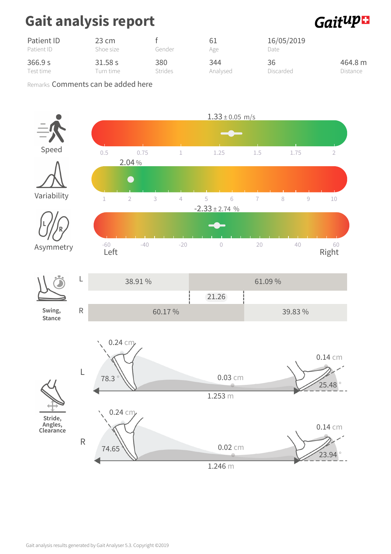## Gait analysis report



| Patient ID | 23 cm     | Gender  | 61       | 16/05/2019 |          |  |
|------------|-----------|---------|----------|------------|----------|--|
| Patient ID | Shoe size |         | Age      | Date       |          |  |
| 366.9 s    | 31.58 s   | 380     | 344      | 36         | 464.8 m  |  |
| Test time  | Turn time | Strides | Analysed | Discarded  | Distance |  |

Remarks Comments can be added here